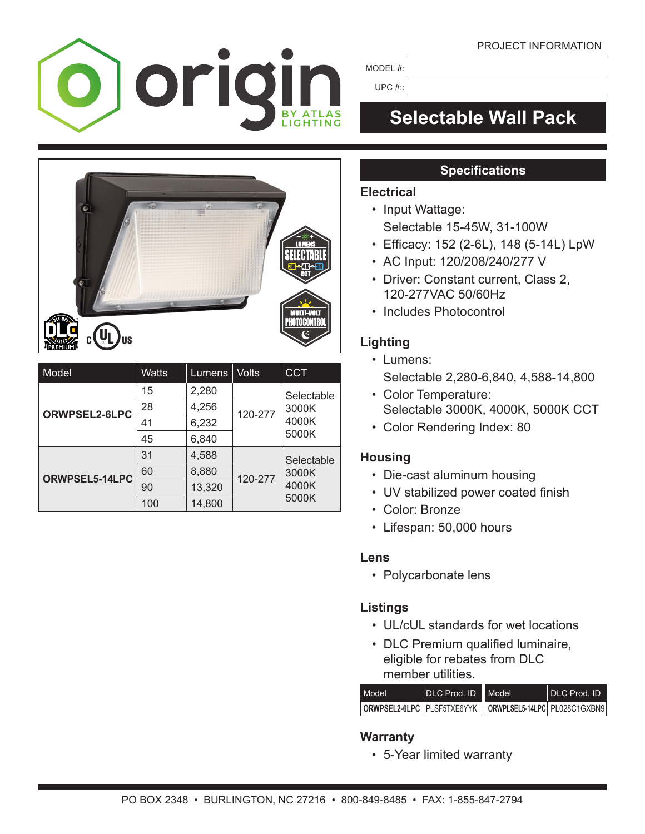#### PROJECT INFORMATION



MODEL #:

UPC #::

# **Selectable Wall Pack**



| Model          | <b>Watts</b> | Lumens | <b>Volts</b> | <b>CCT</b>                            |
|----------------|--------------|--------|--------------|---------------------------------------|
| ORWPSEL2-6LPC  | 15           | 2,280  | 120-277      | Selectable<br>3000K<br>4000K<br>5000K |
|                | 28           | 4,256  |              |                                       |
|                | 41           | 6,232  |              |                                       |
|                | 45           | 6,840  |              |                                       |
| ORWPSEL5-14LPC | 31           | 4,588  | 120-277      | Selectable<br>3000K<br>4000K<br>5000K |
|                | 60           | 8,880  |              |                                       |
|                | 90           | 13,320 |              |                                       |
|                | 100          | 14,800 |              |                                       |

# **Specifications**

#### **Electrical**

- Input Wattage: Selectable 15-45W, 31-100W
- • Efficacy: 152 (2-6L), 148 (5-14L) LpW
- AC Input: 120/208/240/277 V
- Driver: Constant current, Class 2, 120-277VAC 50/60Hz
- Includes Photocontrol

# **Lighting**

- Lumens: Selectable 2,280-6,840, 4,588-14,800
- Color Temperature: Selectable 3000K, 4000K, 5000K CCT
- Color Rendering Index: 80

# **Housing**

- Die-cast aluminum housing
- UV stabilized power coated finish
- Color: Bronze
- Lifespan: 50,000 hours

#### **Lens**

 • Polycarbonate lens

#### **Listings**

- UL/cUL standards for wet locations
- DLC Premium qualified luminaire, eligible for rebates from DLC member utilities

| Model                                                     | DLC Prod. ID Model | I DLC Prod. ID |
|-----------------------------------------------------------|--------------------|----------------|
| ORWPSEL2-6LPC PLSF5TXE6YYK   ORWPLSEL5-14LPC PL028C1GXBN9 |                    |                |

# **Warranty**

 • 5-Year limited warranty